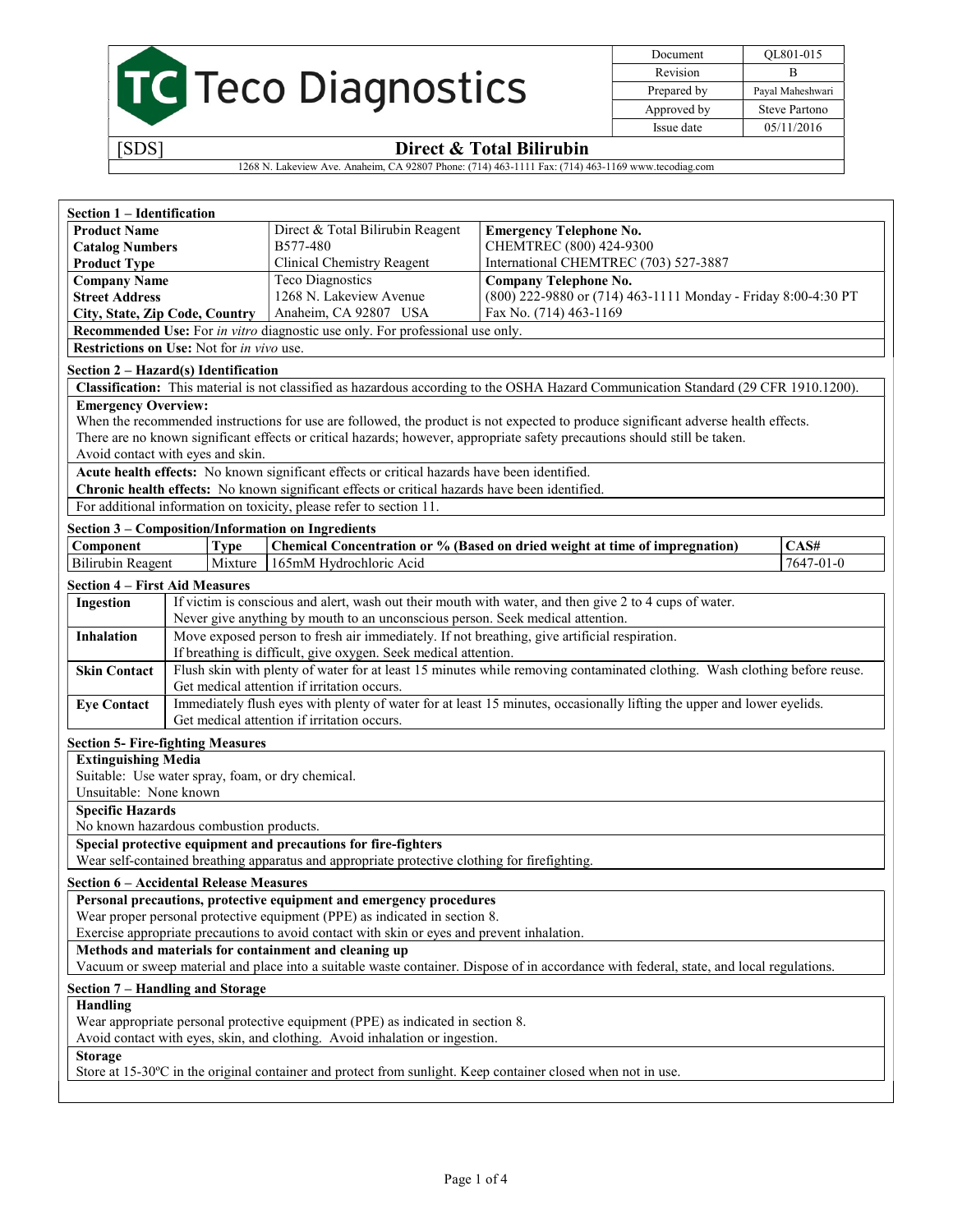

Document QL801-015 Revision B Prepared by Payal Maheshwari Approved by Steve Partono Issue date 05/11/2016

# [SDS] Direct & Total Bilirubin

1268 N. Lakeview Ave. Anaheim, CA 92807 Phone: (714) 463-1111 Fax: (714) 463-1169 www.tecodiag.com

| Section 1 - Identification            |                                                   |                                                                                                                                      |                                                                                                                                          |           |
|---------------------------------------|---------------------------------------------------|--------------------------------------------------------------------------------------------------------------------------------------|------------------------------------------------------------------------------------------------------------------------------------------|-----------|
| <b>Product Name</b>                   |                                                   | Direct & Total Bilirubin Reagent                                                                                                     | <b>Emergency Telephone No.</b>                                                                                                           |           |
| <b>Catalog Numbers</b>                |                                                   | B577-480                                                                                                                             | CHEMTREC (800) 424-9300                                                                                                                  |           |
| <b>Product Type</b>                   |                                                   | Clinical Chemistry Reagent                                                                                                           | International CHEMTREC (703) 527-3887                                                                                                    |           |
| <b>Company Name</b>                   |                                                   | <b>Teco Diagnostics</b>                                                                                                              | <b>Company Telephone No.</b>                                                                                                             |           |
| <b>Street Address</b>                 |                                                   | 1268 N. Lakeview Avenue                                                                                                              | (800) 222-9880 or (714) 463-1111 Monday - Friday 8:00-4:30 PT                                                                            |           |
| City, State, Zip Code, Country        |                                                   | Anaheim, CA 92807 USA                                                                                                                | Fax No. (714) 463-1169                                                                                                                   |           |
|                                       |                                                   | Recommended Use: For in vitro diagnostic use only. For professional use only.                                                        |                                                                                                                                          |           |
|                                       | Restrictions on Use: Not for in vivo use.         |                                                                                                                                      |                                                                                                                                          |           |
|                                       | Section 2 - Hazard(s) Identification              |                                                                                                                                      |                                                                                                                                          |           |
|                                       |                                                   |                                                                                                                                      | Classification: This material is not classified as hazardous according to the OSHA Hazard Communication Standard (29 CFR 1910.1200).     |           |
| <b>Emergency Overview:</b>            |                                                   |                                                                                                                                      |                                                                                                                                          |           |
|                                       |                                                   |                                                                                                                                      | When the recommended instructions for use are followed, the product is not expected to produce significant adverse health effects.       |           |
|                                       |                                                   |                                                                                                                                      | There are no known significant effects or critical hazards; however, appropriate safety precautions should still be taken.               |           |
|                                       | Avoid contact with eyes and skin.                 |                                                                                                                                      |                                                                                                                                          |           |
|                                       |                                                   | Acute health effects: No known significant effects or critical hazards have been identified.                                         |                                                                                                                                          |           |
|                                       |                                                   | Chronic health effects: No known significant effects or critical hazards have been identified.                                       |                                                                                                                                          |           |
|                                       |                                                   | For additional information on toxicity, please refer to section 11.                                                                  |                                                                                                                                          |           |
|                                       |                                                   | Section 3 - Composition/Information on Ingredients                                                                                   |                                                                                                                                          |           |
| Component                             | <b>Type</b>                                       |                                                                                                                                      | Chemical Concentration or % (Based on dried weight at time of impregnation)                                                              | CAS#      |
| <b>Bilirubin Reagent</b>              | Mixture                                           | 165mM Hydrochloric Acid                                                                                                              |                                                                                                                                          | 7647-01-0 |
| <b>Section 4 – First Aid Measures</b> |                                                   |                                                                                                                                      |                                                                                                                                          |           |
| Ingestion                             |                                                   |                                                                                                                                      | If victim is conscious and alert, wash out their mouth with water, and then give 2 to 4 cups of water.                                   |           |
|                                       |                                                   | Never give anything by mouth to an unconscious person. Seek medical attention.                                                       |                                                                                                                                          |           |
| <b>Inhalation</b>                     |                                                   | Move exposed person to fresh air immediately. If not breathing, give artificial respiration.                                         |                                                                                                                                          |           |
|                                       |                                                   | If breathing is difficult, give oxygen. Seek medical attention.                                                                      |                                                                                                                                          |           |
| <b>Skin Contact</b>                   |                                                   |                                                                                                                                      | Flush skin with plenty of water for at least 15 minutes while removing contaminated clothing. Wash clothing before reuse.                |           |
|                                       |                                                   | Get medical attention if irritation occurs.                                                                                          |                                                                                                                                          |           |
| <b>Eye Contact</b>                    |                                                   |                                                                                                                                      | Immediately flush eyes with plenty of water for at least 15 minutes, occasionally lifting the upper and lower eyelids.                   |           |
|                                       |                                                   | Get medical attention if irritation occurs.                                                                                          |                                                                                                                                          |           |
|                                       | <b>Section 5- Fire-fighting Measures</b>          |                                                                                                                                      |                                                                                                                                          |           |
| <b>Extinguishing Media</b>            |                                                   |                                                                                                                                      |                                                                                                                                          |           |
|                                       | Suitable: Use water spray, foam, or dry chemical. |                                                                                                                                      |                                                                                                                                          |           |
| Unsuitable: None known                |                                                   |                                                                                                                                      |                                                                                                                                          |           |
| <b>Specific Hazards</b>               |                                                   |                                                                                                                                      |                                                                                                                                          |           |
|                                       | No known hazardous combustion products.           |                                                                                                                                      |                                                                                                                                          |           |
|                                       |                                                   | Special protective equipment and precautions for fire-fighters                                                                       |                                                                                                                                          |           |
|                                       |                                                   | Wear self-contained breathing apparatus and appropriate protective clothing for firefighting.                                        |                                                                                                                                          |           |
|                                       | <b>Section 6 - Accidental Release Measures</b>    |                                                                                                                                      |                                                                                                                                          |           |
|                                       |                                                   | Personal precautions, protective equipment and emergency procedures                                                                  |                                                                                                                                          |           |
|                                       |                                                   | Wear proper personal protective equipment (PPE) as indicated in section 8.                                                           |                                                                                                                                          |           |
|                                       |                                                   | Exercise appropriate precautions to avoid contact with skin or eyes and prevent inhalation.                                          |                                                                                                                                          |           |
|                                       |                                                   | Methods and materials for containment and cleaning up                                                                                |                                                                                                                                          |           |
|                                       |                                                   |                                                                                                                                      | Vacuum or sweep material and place into a suitable waste container. Dispose of in accordance with federal, state, and local regulations. |           |
|                                       | Section 7 – Handling and Storage                  |                                                                                                                                      |                                                                                                                                          |           |
| <b>Handling</b>                       |                                                   |                                                                                                                                      |                                                                                                                                          |           |
|                                       |                                                   | Wear appropriate personal protective equipment (PPE) as indicated in section 8.                                                      |                                                                                                                                          |           |
|                                       |                                                   | Avoid contact with eyes, skin, and clothing. Avoid inhalation or ingestion.                                                          |                                                                                                                                          |           |
| <b>Storage</b>                        |                                                   |                                                                                                                                      |                                                                                                                                          |           |
|                                       |                                                   | Store at $15{\text -}30^{\circ}\text{C}$ in the original container and protect from sunlight. Keep container closed when not in use. |                                                                                                                                          |           |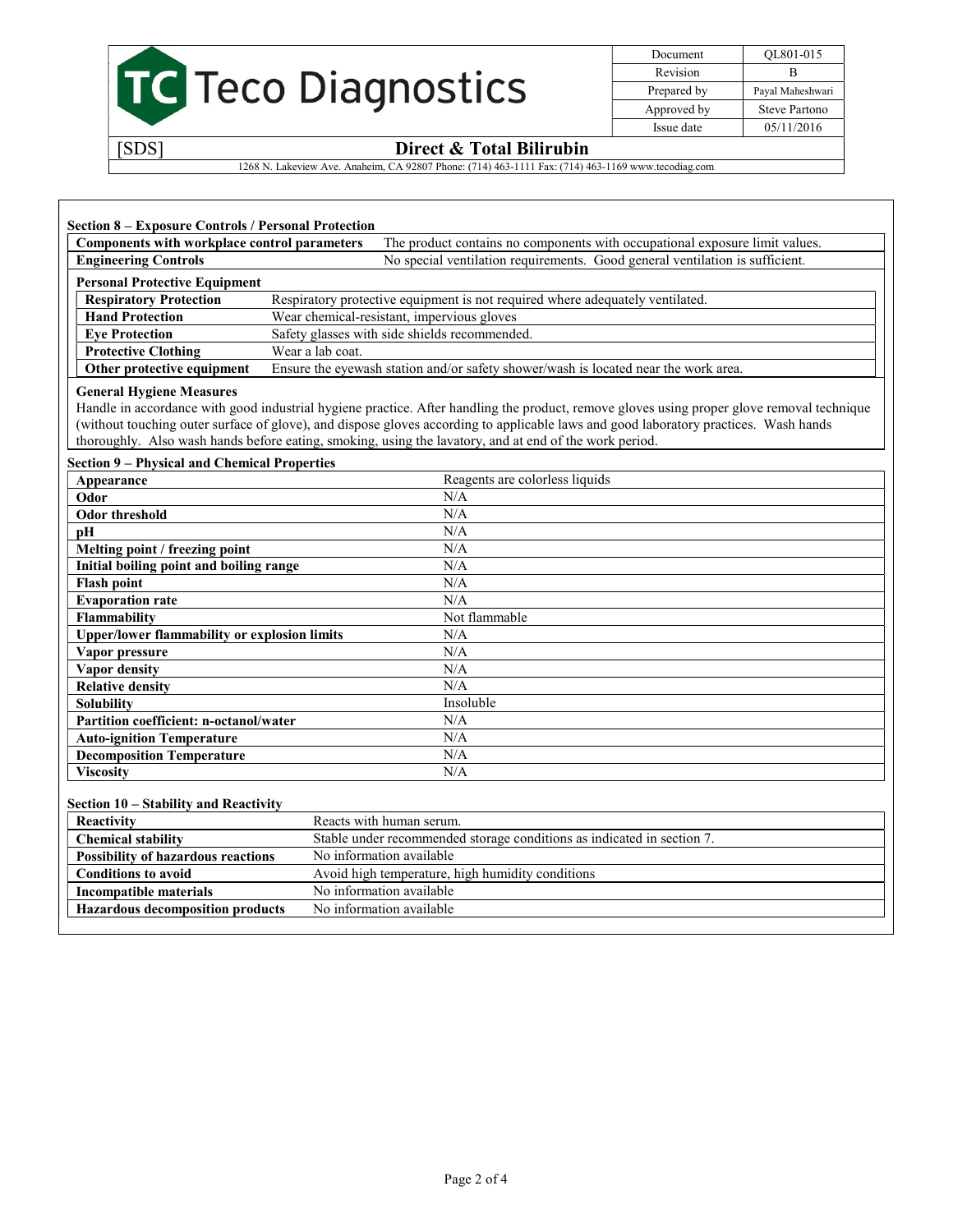

Document QL801-015 Revision B Prepared by Payal Maheshwari Approved by Steve Partono Issue date 05/11/2016

### [SDS] Direct & Total Bilirubin

1268 N. Lakeview Ave. Anaheim, CA 92807 Phone: (714) 463-1111 Fax: (714) 463-1169 www.tecodiag.com

| Components with workplace control parameters | The product contains no components with occupational exposure limit values.         |  |
|----------------------------------------------|-------------------------------------------------------------------------------------|--|
| <b>Engineering Controls</b>                  | No special ventilation requirements. Good general ventilation is sufficient.        |  |
| <b>Personal Protective Equipment</b>         |                                                                                     |  |
| <b>Respiratory Protection</b>                | Respiratory protective equipment is not required where adequately ventilated.       |  |
| <b>Hand Protection</b>                       | Wear chemical-resistant, impervious gloves                                          |  |
| <b>Eve Protection</b>                        | Safety glasses with side shields recommended.                                       |  |
| <b>Protective Clothing</b>                   | Wear a lab coat.                                                                    |  |
| Other protective equipment                   | Ensure the eyewash station and/or safety shower/wash is located near the work area. |  |

#### General Hygiene Measures

Handle in accordance with good industrial hygiene practice. After handling the product, remove gloves using proper glove removal technique (without touching outer surface of glove), and dispose gloves according to applicable laws and good laboratory practices. Wash hands thoroughly. Also wash hands before eating, smoking, using the lavatory, and at end of the work period.

#### Section 9 – Physical and Chemical Properties

| Appearance                                          | Reagents are colorless liquids |
|-----------------------------------------------------|--------------------------------|
| Odor                                                | N/A                            |
| Odor threshold                                      | N/A                            |
| pН                                                  | N/A                            |
| Melting point / freezing point                      | N/A                            |
| Initial boiling point and boiling range             | N/A                            |
| <b>Flash point</b>                                  | N/A                            |
| <b>Evaporation rate</b>                             | N/A                            |
| Flammability                                        | Not flammable                  |
| <b>Upper/lower flammability or explosion limits</b> | N/A                            |
| Vapor pressure                                      | N/A                            |
| <b>Vapor density</b>                                | N/A                            |
| <b>Relative density</b>                             | N/A                            |
| <b>Solubility</b>                                   | Insoluble                      |
| Partition coefficient: n-octanol/water              | N/A                            |
| <b>Auto-ignition Temperature</b>                    | N/A                            |
| <b>Decomposition Temperature</b>                    | N/A                            |
| <b>Viscosity</b>                                    | N/A                            |

#### Section 10 – Stability and Reactivity

| Reactivity                                | Reacts with human serum.                                               |
|-------------------------------------------|------------------------------------------------------------------------|
| <b>Chemical stability</b>                 | Stable under recommended storage conditions as indicated in section 7. |
| <b>Possibility of hazardous reactions</b> | No information available                                               |
| <b>Conditions to avoid</b>                | Avoid high temperature, high humidity conditions                       |
| Incompatible materials                    | No information available                                               |
| <b>Hazardous decomposition products</b>   | No information available                                               |
|                                           |                                                                        |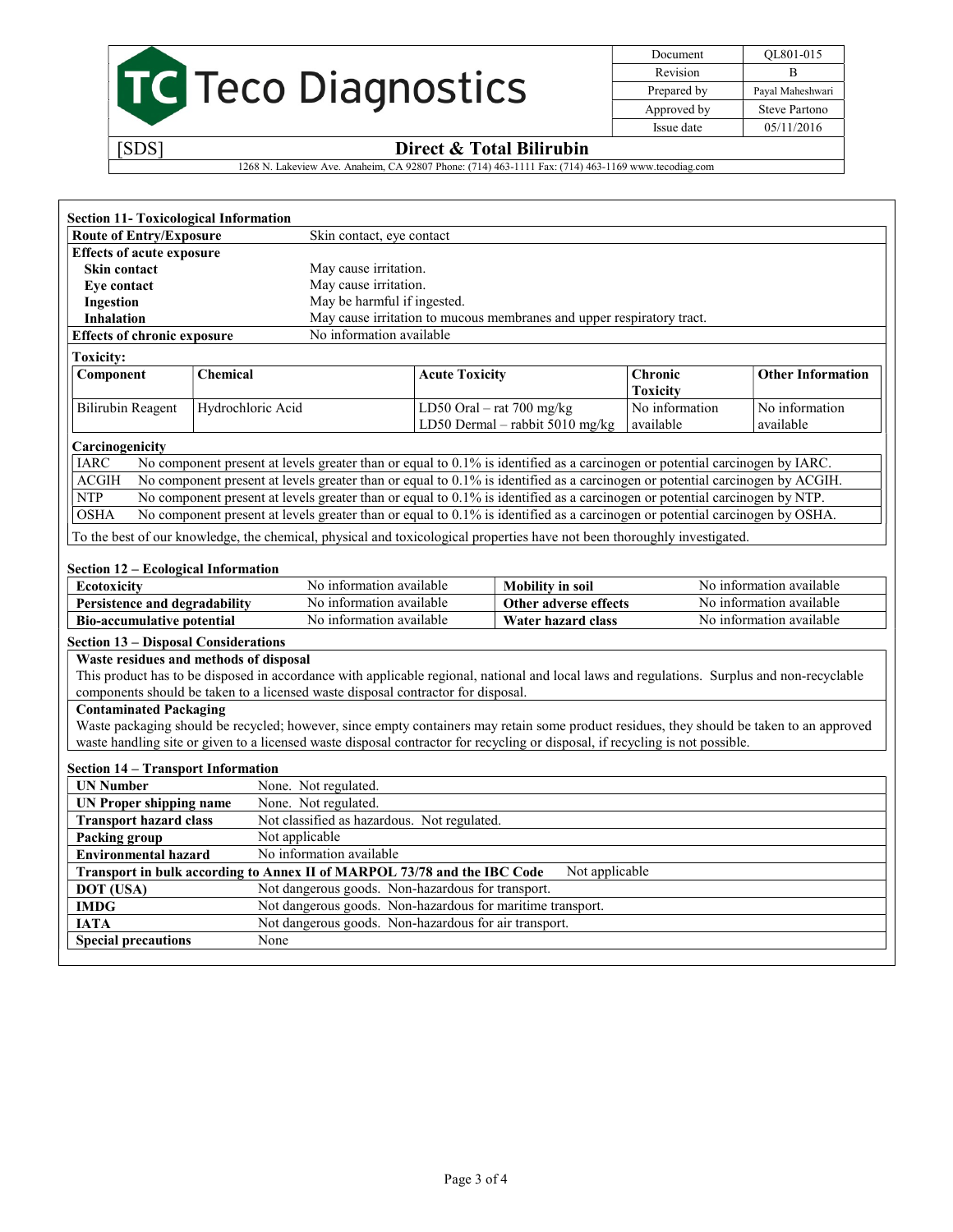

Document QL801-015 Revision B Prepared by Payal Maheshwari Approved by Steve Partono Issue date 05/11/2016

## [SDS] Direct & Total Bilirubin

1268 N. Lakeview Ave. Anaheim, CA 92807 Phone: (714) 463-1111 Fax: (714) 463-1169 www.tecodiag.com

| <b>Section 11- Toxicological Information</b><br><b>Route of Entry/Exposure</b>                                                               |                                                       |                                                                                                                               |                             |                             |
|----------------------------------------------------------------------------------------------------------------------------------------------|-------------------------------------------------------|-------------------------------------------------------------------------------------------------------------------------------|-----------------------------|-----------------------------|
|                                                                                                                                              | Skin contact, eye contact                             |                                                                                                                               |                             |                             |
| <b>Effects of acute exposure</b>                                                                                                             |                                                       |                                                                                                                               |                             |                             |
| Skin contact                                                                                                                                 | May cause irritation.                                 |                                                                                                                               |                             |                             |
| Eye contact                                                                                                                                  | May cause irritation.                                 |                                                                                                                               |                             |                             |
| Ingestion                                                                                                                                    | May be harmful if ingested.                           |                                                                                                                               |                             |                             |
| <b>Inhalation</b>                                                                                                                            |                                                       | May cause irritation to mucous membranes and upper respiratory tract.                                                         |                             |                             |
| <b>Effects of chronic exposure</b>                                                                                                           | No information available                              |                                                                                                                               |                             |                             |
| <b>Toxicity:</b>                                                                                                                             |                                                       |                                                                                                                               |                             |                             |
| Component<br><b>Chemical</b>                                                                                                                 |                                                       | <b>Acute Toxicity</b>                                                                                                         | Chronic<br><b>Toxicity</b>  | <b>Other Information</b>    |
| <b>Bilirubin Reagent</b><br>Hydrochloric Acid                                                                                                |                                                       | LD50 Oral - rat $700$ mg/kg<br>LD50 Dermal - rabbit 5010 mg/kg                                                                | No information<br>available | No information<br>available |
| Carcinogenicity                                                                                                                              |                                                       |                                                                                                                               |                             |                             |
| <b>IARC</b><br>No component present at levels greater than or equal to 0.1% is identified as a carcinogen or potential carcinogen by IARC.   |                                                       |                                                                                                                               |                             |                             |
| No component present at levels greater than or equal to 0.1% is identified as a carcinogen or potential carcinogen by ACGIH.<br><b>ACGIH</b> |                                                       |                                                                                                                               |                             |                             |
| <b>NTP</b><br>No component present at levels greater than or equal to 0.1% is identified as a carcinogen or potential carcinogen by NTP.     |                                                       |                                                                                                                               |                             |                             |
| No component present at levels greater than or equal to 0.1% is identified as a carcinogen or potential carcinogen by OSHA.<br><b>OSHA</b>   |                                                       |                                                                                                                               |                             |                             |
| To the best of our knowledge, the chemical, physical and toxicological properties have not been thoroughly investigated.                     |                                                       |                                                                                                                               |                             |                             |
|                                                                                                                                              |                                                       |                                                                                                                               |                             |                             |
| Section 12 – Ecological Information                                                                                                          |                                                       |                                                                                                                               |                             |                             |
| Ecotoxicity                                                                                                                                  | No information available                              | <b>Mobility</b> in soil                                                                                                       |                             | No information available    |
| Persistence and degradability                                                                                                                | No information available                              | Other adverse effects                                                                                                         |                             | No information available    |
| <b>Bio-accumulative potential</b>                                                                                                            | No information available                              | <b>Water hazard class</b>                                                                                                     |                             | No information available    |
| <b>Section 13 - Disposal Considerations</b>                                                                                                  |                                                       |                                                                                                                               |                             |                             |
| Waste residues and methods of disposal                                                                                                       |                                                       |                                                                                                                               |                             |                             |
| This product has to be disposed in accordance with applicable regional, national and local laws and regulations. Surplus and non-recyclable  |                                                       |                                                                                                                               |                             |                             |
| components should be taken to a licensed waste disposal contractor for disposal.                                                             |                                                       |                                                                                                                               |                             |                             |
| <b>Contaminated Packaging</b>                                                                                                                |                                                       |                                                                                                                               |                             |                             |
| Waste packaging should be recycled; however, since empty containers may retain some product residues, they should be taken to an approved    |                                                       |                                                                                                                               |                             |                             |
|                                                                                                                                              |                                                       |                                                                                                                               |                             |                             |
|                                                                                                                                              |                                                       | waste handling site or given to a licensed waste disposal contractor for recycling or disposal, if recycling is not possible. |                             |                             |
| <b>Section 14 – Transport Information</b>                                                                                                    |                                                       |                                                                                                                               |                             |                             |
| <b>UN Number</b>                                                                                                                             | None. Not regulated.                                  |                                                                                                                               |                             |                             |
| <b>UN Proper shipping name</b>                                                                                                               | None. Not regulated.                                  |                                                                                                                               |                             |                             |
| <b>Transport hazard class</b>                                                                                                                | Not classified as hazardous. Not regulated.           |                                                                                                                               |                             |                             |
| Not applicable<br>Packing group                                                                                                              |                                                       |                                                                                                                               |                             |                             |
| <b>Environmental hazard</b>                                                                                                                  | No information available                              |                                                                                                                               |                             |                             |
| Transport in bulk according to Annex II of MARPOL 73/78 and the IBC Code                                                                     |                                                       |                                                                                                                               | Not applicable              |                             |
| DOT (USA)                                                                                                                                    | Not dangerous goods. Non-hazardous for transport.     |                                                                                                                               |                             |                             |
| <b>IMDG</b>                                                                                                                                  |                                                       | Not dangerous goods. Non-hazardous for maritime transport.                                                                    |                             |                             |
| <b>IATA</b><br><b>Special precautions</b>                                                                                                    | Not dangerous goods. Non-hazardous for air transport. |                                                                                                                               |                             |                             |